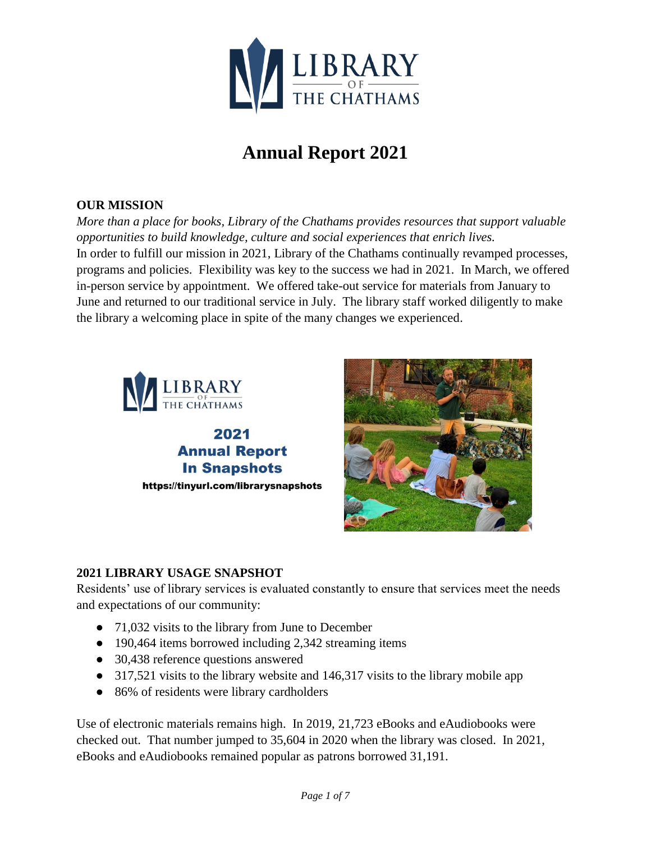

# **Annual Report 2021**

#### **OUR MISSION**

*More than a place for books, Library of the Chathams provides resources that support valuable opportunities to build knowledge, culture and social experiences that enrich lives.* In order to fulfill our mission in 2021, Library of the Chathams continually revamped processes, programs and policies. Flexibility was key to the success we had in 2021. In March, we offered in-person service by appointment. We offered take-out service for materials from January to June and returned to our traditional service in July. The library staff worked diligently to make the library a welcoming place in spite of the many changes we experienced.



2021 **Annual Report In Snapshots** https://tinyurl.com/librarysnapshots



## **2021 LIBRARY USAGE SNAPSHOT**

Residents' use of library services is evaluated constantly to ensure that services meet the needs and expectations of our community:

- 71,032 visits to the library from June to December
- 190,464 items borrowed including 2,342 streaming items
- 30,438 reference questions answered
- 317,521 visits to the library website and 146,317 visits to the library mobile app
- 86% of residents were library cardholders

Use of electronic materials remains high. In 2019, 21,723 eBooks and eAudiobooks were checked out. That number jumped to 35,604 in 2020 when the library was closed. In 2021, eBooks and eAudiobooks remained popular as patrons borrowed 31,191.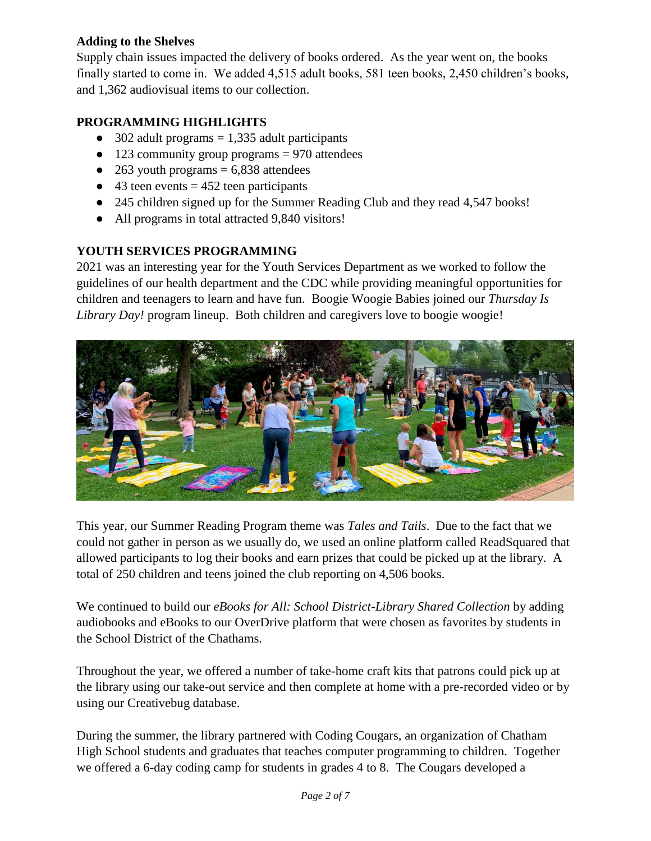#### **Adding to the Shelves**

Supply chain issues impacted the delivery of books ordered. As the year went on, the books finally started to come in. We added 4,515 adult books, 581 teen books, 2,450 children's books, and 1,362 audiovisual items to our collection.

## **PROGRAMMING HIGHLIGHTS**

- $\bullet$  302 adult programs = 1,335 adult participants
- $\bullet$  123 community group programs = 970 attendees
- $\bullet$  263 youth programs = 6,838 attendees
- $\bullet$  43 teen events = 452 teen participants
- 245 children signed up for the Summer Reading Club and they read 4,547 books!
- All programs in total attracted 9,840 visitors!

# **YOUTH SERVICES PROGRAMMING**

2021 was an interesting year for the Youth Services Department as we worked to follow the guidelines of our health department and the CDC while providing meaningful opportunities for children and teenagers to learn and have fun. Boogie Woogie Babies joined our *Thursday Is Library Day!* program lineup. Both children and caregivers love to boogie woogie!



This year, our Summer Reading Program theme was *Tales and Tails*. Due to the fact that we could not gather in person as we usually do, we used an online platform called ReadSquared that allowed participants to log their books and earn prizes that could be picked up at the library. A total of 250 children and teens joined the club reporting on 4,506 books.

We continued to build our *eBooks for All: School District-Library Shared Collection* by adding audiobooks and eBooks to our OverDrive platform that were chosen as favorites by students in the School District of the Chathams.

Throughout the year, we offered a number of take-home craft kits that patrons could pick up at the library using our take-out service and then complete at home with a pre-recorded video or by using our Creativebug database.

During the summer, the library partnered with Coding Cougars, an organization of Chatham High School students and graduates that teaches computer programming to children. Together we offered a 6-day coding camp for students in grades 4 to 8. The Cougars developed a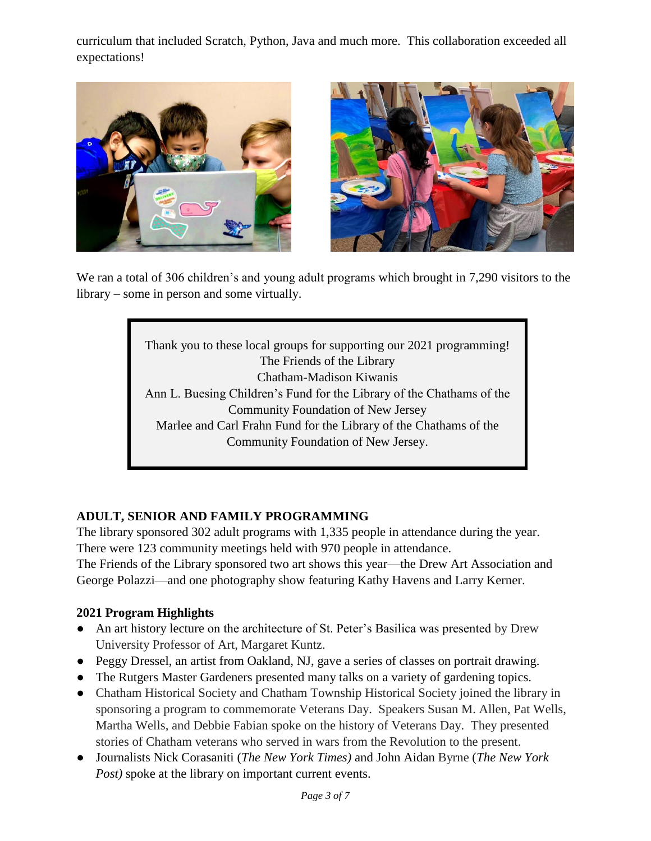curriculum that included Scratch, Python, Java and much more. This collaboration exceeded all expectations!





We ran a total of 306 children's and young adult programs which brought in 7,290 visitors to the library – some in person and some virtually.

> Thank you to these local groups for supporting our 2021 programming! The Friends of the Library Chatham-Madison Kiwanis Ann L. Buesing Children's Fund for the Library of the Chathams of the Community Foundation of New Jersey Marlee and Carl Frahn Fund for the Library of the Chathams of the Community Foundation of New Jersey.

## **ADULT, SENIOR AND FAMILY PROGRAMMING**

The library sponsored 302 adult programs with 1,335 people in attendance during the year. There were 123 community meetings held with 970 people in attendance.

The Friends of the Library sponsored two art shows this year—the Drew Art Association and George Polazzi—and one photography show featuring Kathy Havens and Larry Kerner.

#### **2021 Program Highlights**

- An art history lecture on the architecture of St. Peter's Basilica was presented by Drew University Professor of Art, Margaret Kuntz.
- Peggy Dressel, an artist from Oakland, NJ, gave a series of classes on portrait drawing.
- The Rutgers Master Gardeners presented many talks on a variety of gardening topics.
- Chatham Historical Society and Chatham Township Historical Society joined the library in sponsoring a program to commemorate Veterans Day. Speakers Susan M. Allen, Pat Wells, Martha Wells, and Debbie Fabian spoke on the history of Veterans Day. They presented stories of Chatham veterans who served in wars from the Revolution to the present.
- Journalists Nick Corasaniti (*The New York Times)* and John Aidan Byrne (*The New York Post)* spoke at the library on important current events.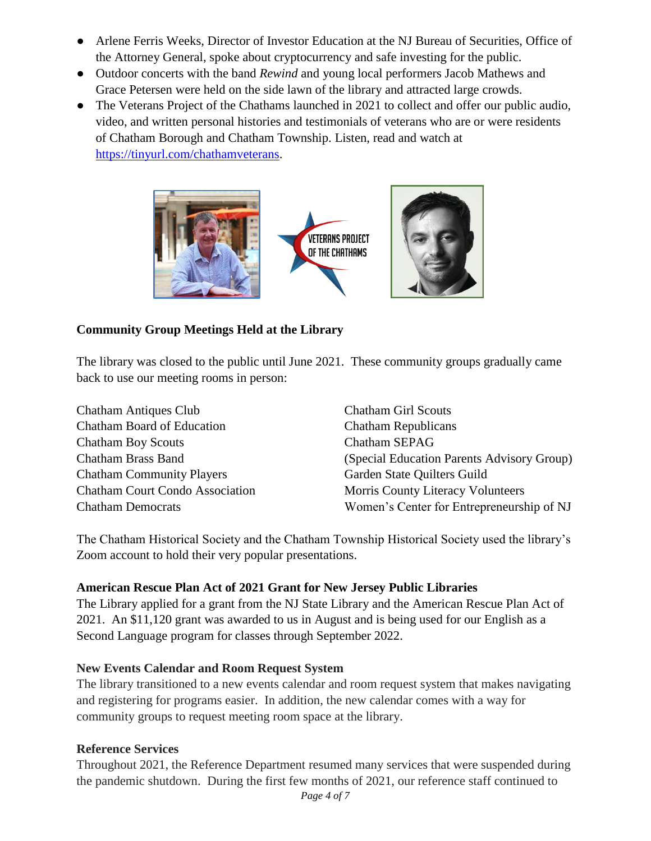- Arlene Ferris Weeks, Director of Investor Education at the NJ Bureau of Securities, Office of the Attorney General, spoke about cryptocurrency and safe investing for the public.
- Outdoor concerts with the band *Rewind* and young local performers Jacob Mathews and Grace Petersen were held on the side lawn of the library and attracted large crowds.
- The Veterans Project of the Chathams launched in 2021 to collect and offer our public audio, video, and written personal histories and testimonials of veterans who are or were residents of Chatham Borough and Chatham Township. Listen, read and watch at [https://tinyurl.com/chathamveterans.](https://tinyurl.com/chathamveterans)



# **Community Group Meetings Held at the Library**

The library was closed to the public until June 2021. These community groups gradually came back to use our meeting rooms in person:

Chatham Antiques Club Chatham Board of Education Chatham Boy Scouts Chatham Brass Band Chatham Community Players Chatham Court Condo Association Chatham Democrats Chatham Girl Scouts Chatham Republicans Chatham SEPAG (Special Education Parents Advisory Group) Garden State Quilters Guild Morris County Literacy Volunteers Women's Center for Entrepreneurship of NJ

The Chatham Historical Society and the Chatham Township Historical Society used the library's Zoom account to hold their very popular presentations.

## **American Rescue Plan Act of 2021 Grant for New Jersey Public Libraries**

The Library applied for a grant from the NJ State Library and the American Rescue Plan Act of 2021. An \$11,120 grant was awarded to us in August and is being used for our English as a Second Language program for classes through September 2022.

## **New Events Calendar and Room Request System**

The library transitioned to a new events calendar and room request system that makes navigating and registering for programs easier. In addition, the new calendar comes with a way for community groups to request meeting room space at the library.

#### **Reference Services**

Throughout 2021, the Reference Department resumed many services that were suspended during the pandemic shutdown. During the first few months of 2021, our reference staff continued to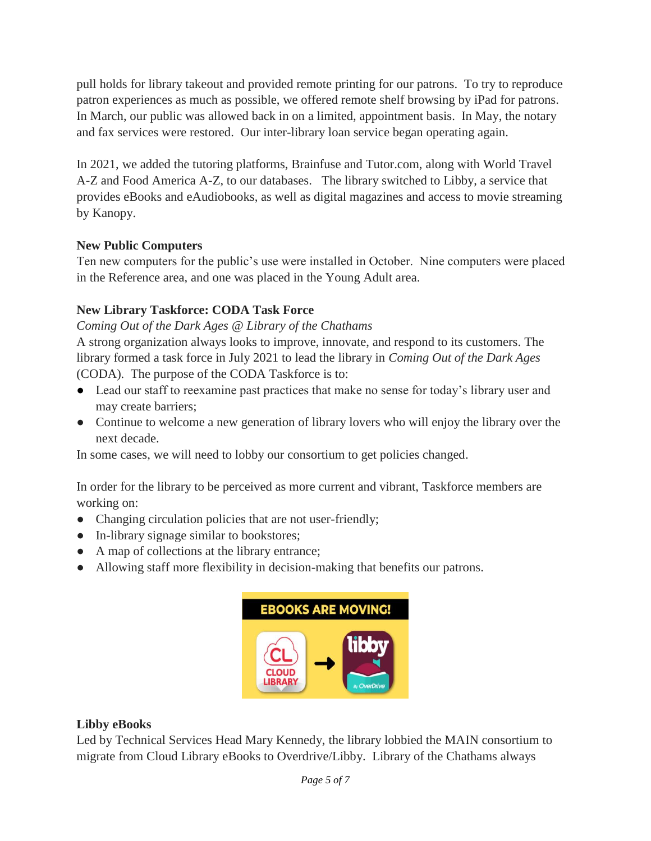pull holds for library takeout and provided remote printing for our patrons. To try to reproduce patron experiences as much as possible, we offered remote shelf browsing by iPad for patrons. In March, our public was allowed back in on a limited, appointment basis. In May, the notary and fax services were restored. Our inter-library loan service began operating again.

In 2021, we added the tutoring platforms, Brainfuse and Tutor.com, along with World Travel A-Z and Food America A-Z, to our databases. The library switched to Libby, a service that provides eBooks and eAudiobooks, as well as digital magazines and access to movie streaming by Kanopy.

# **New Public Computers**

Ten new computers for the public's use were installed in October. Nine computers were placed in the Reference area, and one was placed in the Young Adult area.

# **New Library Taskforce: CODA Task Force**

*Coming Out of the Dark Ages @ Library of the Chathams*

A strong organization always looks to improve, innovate, and respond to its customers. The library formed a task force in July 2021 to lead the library in *Coming Out of the Dark Ages* (CODA). The purpose of the CODA Taskforce is to:

- Lead our staff to reexamine past practices that make no sense for today's library user and may create barriers;
- Continue to welcome a new generation of library lovers who will enjoy the library over the next decade.

In some cases, we will need to lobby our consortium to get policies changed.

In order for the library to be perceived as more current and vibrant, Taskforce members are working on:

- Changing circulation policies that are not user-friendly;
- In-library signage similar to bookstores;
- A map of collections at the library entrance;
- Allowing staff more flexibility in decision-making that benefits our patrons.



# **Libby eBooks**

Led by Technical Services Head Mary Kennedy, the library lobbied the MAIN consortium to migrate from Cloud Library eBooks to Overdrive/Libby. Library of the Chathams always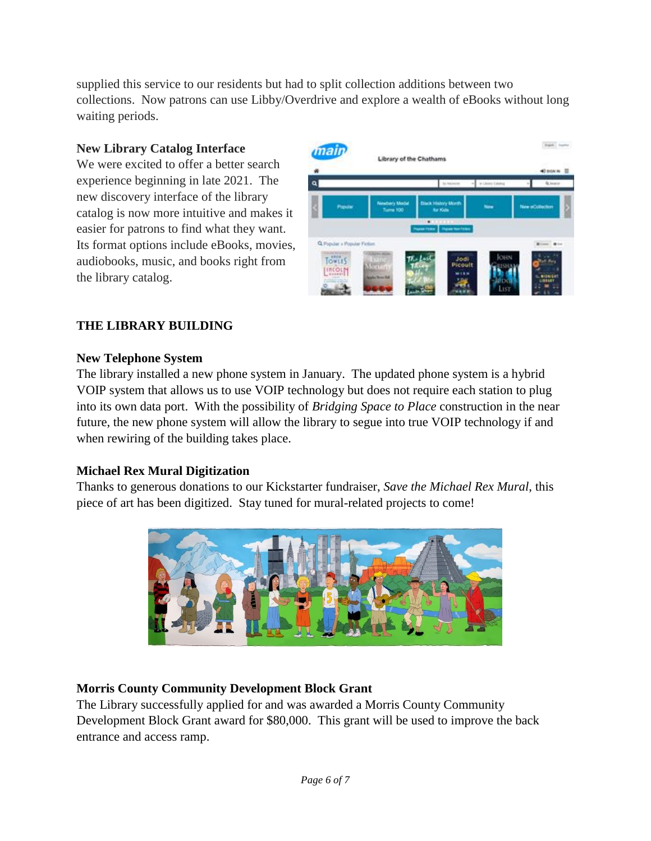supplied this service to our residents but had to split collection additions between two collections. Now patrons can use Libby/Overdrive and explore a wealth of eBooks without long waiting periods.

# **New Library Catalog Interface**

We were excited to offer a better search experience beginning in late 2021. The new discovery interface of the library catalog is now more intuitive and makes it easier for patrons to find what they want. Its format options include eBooks, movies, audiobooks, music, and books right from the library catalog.



# **THE LIBRARY BUILDING**

# **New Telephone System**

The library installed a new phone system in January. The updated phone system is a hybrid VOIP system that allows us to use VOIP technology but does not require each station to plug into its own data port. With the possibility of *Bridging Space to Place* construction in the near future, the new phone system will allow the library to segue into true VOIP technology if and when rewiring of the building takes place.

# **Michael Rex Mural Digitization**

Thanks to generous donations to our Kickstarter fundraiser, *Save the Michael Rex Mural*, this piece of art has been digitized. Stay tuned for mural-related projects to come!



# **Morris County Community Development Block Grant**

The Library successfully applied for and was awarded a Morris County Community Development Block Grant award for \$80,000. This grant will be used to improve the back entrance and access ramp.